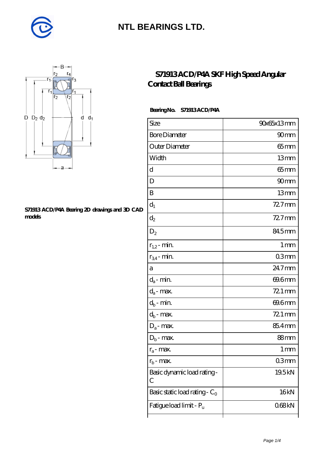



#### **[S71913 ACD/P4A Bearing 2D drawings and 3D CAD](https://diabetesfriends.net/pic-590729.html) [models](https://diabetesfriends.net/pic-590729.html)**

### **[S71913 ACD/P4A SKF High Speed Angular](https://diabetesfriends.net/skf-bearing/s71913-acd-p4a.html) [Contact Ball Bearings](https://diabetesfriends.net/skf-bearing/s71913-acd-p4a.html)**

### **Bearing No. S71913 ACD/P4A**

| Size                             | 90x65x13mm        |
|----------------------------------|-------------------|
| <b>Bore Diameter</b>             | 90 <sub>mm</sub>  |
| Outer Diameter                   | $65$ mm           |
| Width                            | 13mm              |
| d                                | $65$ mm           |
| D                                | 90mm              |
| B                                | 13mm              |
| $\mathrm{d}_{1}$                 | $727$ mm          |
| $d_2$                            | 72.7mm            |
| $D_2$                            | 84.5mm            |
| $r_{1,2}$ - min.                 | $1 \,\mathrm{mm}$ |
| $r_{34}$ - min.                  | 03 <sub>mm</sub>  |
| а                                | 24.7mm            |
| $d_a$ - min.                     | 69.6mm            |
| $d_a$ - max.                     | 721 mm            |
| $d_b$ - min.                     | 69.6mm            |
| $d_b$ - max.                     | 72.1 mm           |
| $D_a$ - max.                     | 85.4mm            |
| $D_b$ - max.                     | 88mm              |
| $r_a$ - max.                     | 1 <sub>mm</sub>   |
| $r_{\rm b}$ - max.               | Q3mm              |
| Basic dynamic load rating-<br>С  | 19.5kN            |
| Basic static load rating - $C_0$ | 16kN              |
| Fatigue load limit - Pu          | 068kN             |
|                                  |                   |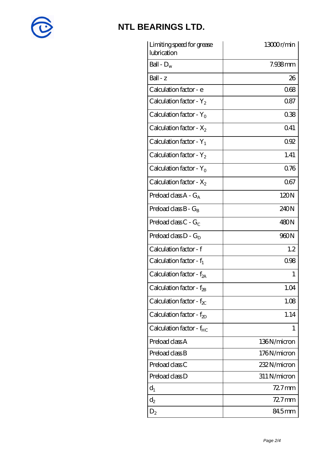

| Limiting speed for grease<br>lubrication | 13000r/min   |
|------------------------------------------|--------------|
| Ball - $D_w$                             | 7.938mm      |
| $Ball - z$                               | 26           |
| Calculation factor - e                   | 068          |
| Calculation factor - $Y_2$               | 0.87         |
| Calculation factor - $Y_0$               | 038          |
| Calculation factor - $X_2$               | Q41          |
| Calculation factor - $Y_1$               | 092          |
| Calculation factor - $Y_2$               | 1.41         |
| Calculation factor - $Y_0$               | 0.76         |
| Calculation factor - $X_2$               | 067          |
| Preload class $A - G_A$                  | 120N         |
| Preload class $B - G_B$                  | 240N         |
| Preload class $C - G_C$                  | 480N         |
| Preload class $D - G_D$                  | 960N         |
| Calculation factor - f                   | 1.2          |
| Calculation factor - $f_1$               | 0.98         |
| Calculation factor - $f_{2A}$            | 1            |
| Calculation factor - $f_{2B}$            | 1.04         |
| Calculation factor - $f_{\chi}$          | 1.08         |
| Calculation factor - $f_{ZD}$            | 1.14         |
| Calculation factor - $f_{HC}$            | 1            |
| Preload class A                          | 136N/micron  |
| Preload class B                          | 176N/micron  |
| Preload class C                          | 232N/micron  |
| Preload class D                          | 311 N/micron |
| $d_1$                                    | $727$ mm     |
| $\mathrm{d}_2$                           | $727$ mm     |
| $D_2$                                    | 84.5mm       |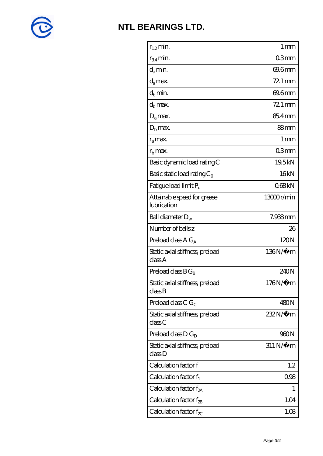

| $r_{1,2}$ min.                             | 1 <sub>mm</sub>  |
|--------------------------------------------|------------------|
| $r_{34}$ min.                              | 03mm             |
| d <sub>a</sub> min.                        | 69.6mm           |
| $d_a$ max.                                 | $721$ mm         |
| $d_h$ min.                                 | 69.6mm           |
| $d_h$ max.                                 | $721$ mm         |
| $D_a$ max.                                 | 85.4mm           |
| $D_{\rm b}$ max.                           | 88 <sub>mm</sub> |
| $r_a$ max.                                 | 1 <sub>mm</sub>  |
| $r_{\rm h}$ max.                           | 03mm             |
| Basic dynamic load rating C                | 19.5kN           |
| Basic static load rating $C_0$             | 16kN             |
| Fatigue load limit P <sub>u</sub>          | 068kN            |
| Attainable speed for grease<br>lubrication | 13000r/min       |
| Ball diameter $D_w$                        | 7.938mm          |
| Number of balls z                          | 26               |
| Preload class $AG_A$                       | 120N             |
| Static axial stiffness, preload<br>classA  | 136N/μ m         |
| Preload class $BG_B$                       | 240N             |
| Static axial stiffness, preload<br>classB  | 176N/μ m         |
| Preload class C $G_C$                      | 480N             |
| Static axial stiffness, preload<br>classC  | 232N/μ m         |
| Preload class $D G_D$                      | 960N             |
| Static axial stiffness, preload<br>classD  | $311N/\mu$ m     |
| Calculation factor f                       | 1.2              |
| Calculation factor $f_1$                   | 0.98             |
| Calculation factor $f_{2A}$                | 1                |
| Calculation factor $f_{\rm 2B}$            | 1.04             |
| Calculation factor f $_{\chi}$             | 1.08             |